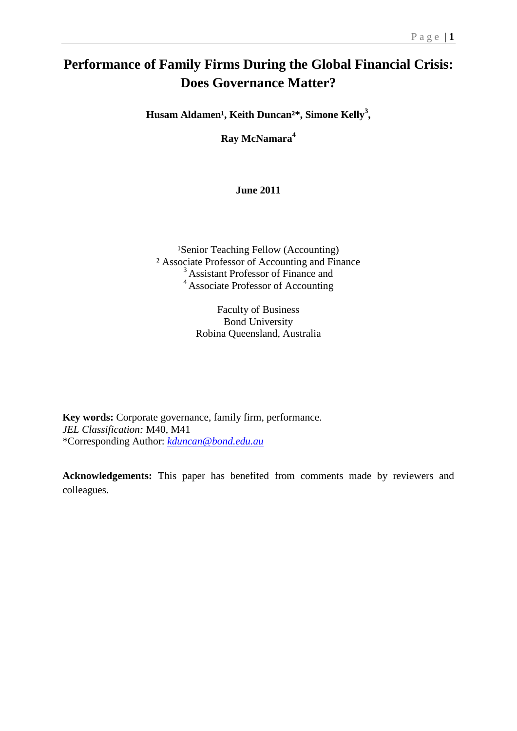# **Performance of Family Firms During the Global Financial Crisis: Does Governance Matter?**

Husam Aldamen<sup>1</sup>, Keith Duncan<sup>2\*</sup>, Simone Kelly<sup>3</sup>,

**Ray McNamara<sup>4</sup>**

**June 2011**

<sup>1</sup>Senior Teaching Fellow (Accounting) ² Associate Professor of Accounting and Finance <sup>3</sup> Assistant Professor of Finance and <sup>4</sup> Associate Professor of Accounting

> Faculty of Business Bond University Robina Queensland, Australia

**Key words:** Corporate governance, family firm, performance. *JEL Classification:* M40, M41 \*Corresponding Author: *[kduncan@bond.edu.au](mailto:kduncan@bond.edu.au)*

**Acknowledgements:** This paper has benefited from comments made by reviewers and colleagues.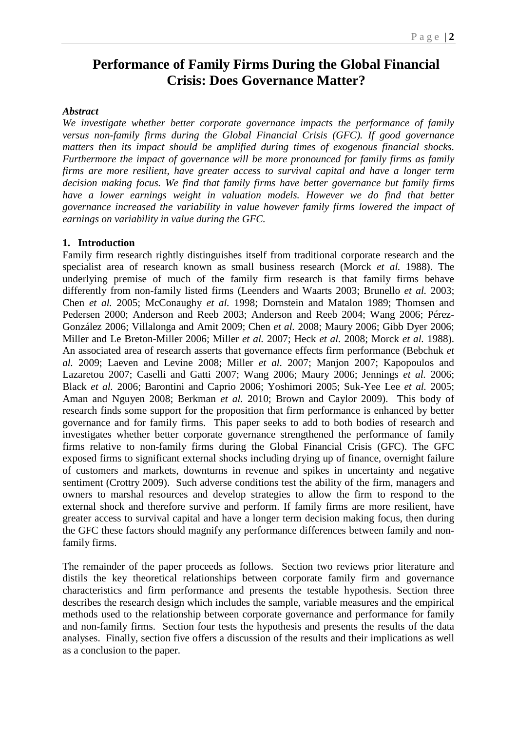# **Performance of Family Firms During the Global Financial Crisis: Does Governance Matter?**

# *Abstract*

*We investigate whether better corporate governance impacts the performance of family versus non-family firms during the Global Financial Crisis (GFC). If good governance matters then its impact should be amplified during times of exogenous financial shocks. Furthermore the impact of governance will be more pronounced for family firms as family firms are more resilient, have greater access to survival capital and have a longer term decision making focus. We find that family firms have better governance but family firms have a lower earnings weight in valuation models. However we do find that better governance increased the variability in value however family firms lowered the impact of earnings on variability in value during the GFC.* 

#### **1. Introduction**

Family firm research rightly distinguishes itself from traditional corporate research and the specialist area of research known as small business research (Morck *et al.* 1988). The underlying premise of much of the family firm research is that family firms behave differently from non-family listed firms (Leenders and Waarts 2003; Brunello *et al.* 2003; Chen *et al.* 2005; McConaughy *et al.* 1998; Dornstein and Matalon 1989; Thomsen and Pedersen 2000; Anderson and Reeb 2003; Anderson and Reeb 2004; Wang 2006; Pérez-González 2006; Villalonga and Amit 2009; Chen *et al.* 2008; Maury 2006; Gibb Dyer 2006; Miller and Le Breton-Miller 2006; Miller *et al.* 2007; Heck *et al.* 2008; Morck *et al.* 1988). An associated area of research asserts that governance effects firm performance (Bebchuk *et al.* 2009; Laeven and Levine 2008; Miller *et al.* 2007; Manjon 2007; Kapopoulos and Lazaretou 2007; Caselli and Gatti 2007; Wang 2006; Maury 2006; Jennings *et al.* 2006; Black *et al.* 2006; Barontini and Caprio 2006; Yoshimori 2005; Suk-Yee Lee *et al.* 2005; Aman and Nguyen 2008; Berkman *et al.* 2010; Brown and Caylor 2009). This body of research finds some support for the proposition that firm performance is enhanced by better governance and for family firms. This paper seeks to add to both bodies of research and investigates whether better corporate governance strengthened the performance of family firms relative to non-family firms during the Global Financial Crisis (GFC). The GFC exposed firms to significant external shocks including drying up of finance, overnight failure of customers and markets, downturns in revenue and spikes in uncertainty and negative sentiment (Crottry 2009). Such adverse conditions test the ability of the firm, managers and owners to marshal resources and develop strategies to allow the firm to respond to the external shock and therefore survive and perform. If family firms are more resilient, have greater access to survival capital and have a longer term decision making focus, then during the GFC these factors should magnify any performance differences between family and nonfamily firms.

The remainder of the paper proceeds as follows. Section two reviews prior literature and distils the key theoretical relationships between corporate family firm and governance characteristics and firm performance and presents the testable hypothesis. Section three describes the research design which includes the sample, variable measures and the empirical methods used to the relationship between corporate governance and performance for family and non-family firms. Section four tests the hypothesis and presents the results of the data analyses. Finally, section five offers a discussion of the results and their implications as well as a conclusion to the paper.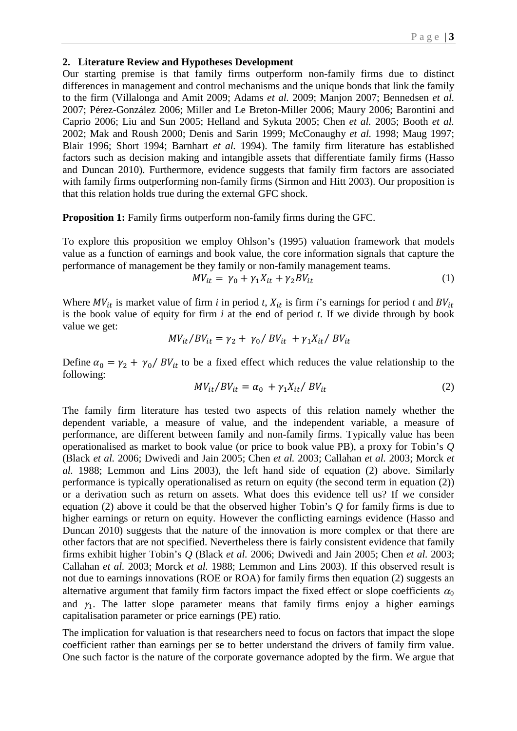#### **2. Literature Review and Hypotheses Development**

Our starting premise is that family firms outperform non-family firms due to distinct differences in management and control mechanisms and the unique bonds that link the family to the firm (Villalonga and Amit 2009; Adams *et al.* 2009; Manjon 2007; Bennedsen *et al.* 2007; Pérez-González 2006; Miller and Le Breton-Miller 2006; Maury 2006; Barontini and Caprio 2006; Liu and Sun 2005; Helland and Sykuta 2005; Chen *et al.* 2005; Booth *et al.* 2002; Mak and Roush 2000; Denis and Sarin 1999; McConaughy *et al.* 1998; Maug 1997; Blair 1996; Short 1994; Barnhart *et al.* 1994). The family firm literature has established factors such as decision making and intangible assets that differentiate family firms (Hasso and Duncan 2010). Furthermore, evidence suggests that family firm factors are associated with family firms outperforming non-family firms (Sirmon and Hitt 2003). Our proposition is that this relation holds true during the external GFC shock.

**Proposition 1:** Family firms outperform non-family firms during the GFC.

To explore this proposition we employ Ohlson's (1995) valuation framework that models value as a function of earnings and book value, the core information signals that capture the performance of management be they family or non-family management teams.

$$
MV_{it} = \gamma_0 + \gamma_1 X_{it} + \gamma_2 BV_{it}
$$
 (1)

Where  $MV_{it}$  is market value of firm *i* in period *t*,  $X_{it}$  is firm *i*'s earnings for period *t* and  $BV_{it}$ is the book value of equity for firm *i* at the end of period *t*. If we divide through by book value we get:

$$
MV_{it}/BV_{it} = \gamma_2 + \gamma_0 / BV_{it} + \gamma_1 X_{it} / BV_{it}
$$

Define  $\alpha_0 = \gamma_2 + \gamma_0 / BV_{it}$  to be a fixed effect which reduces the value relationship to the following:

$$
MV_{it}/BV_{it} = \alpha_0 + \gamma_1 X_{it}/BV_{it}
$$
 (2)

The family firm literature has tested two aspects of this relation namely whether the dependent variable, a measure of value, and the independent variable, a measure of performance, are different between family and non-family firms. Typically value has been operationalised as market to book value (or price to book value PB), a proxy for Tobin's *Q* (Black *et al.* 2006; Dwivedi and Jain 2005; Chen *et al.* 2003; Callahan *et al.* 2003; Morck *et al.* 1988; Lemmon and Lins 2003), the left hand side of equation (2) above. Similarly performance is typically operationalised as return on equity (the second term in equation (2)) or a derivation such as return on assets. What does this evidence tell us? If we consider equation (2) above it could be that the observed higher Tobin's *Q* for family firms is due to higher earnings or return on equity. However the conflicting earnings evidence (Hasso and Duncan 2010) suggests that the nature of the innovation is more complex or that there are other factors that are not specified. Nevertheless there is fairly consistent evidence that family firms exhibit higher Tobin's *Q* (Black *et al.* 2006; Dwivedi and Jain 2005; Chen *et al.* 2003; Callahan *et al.* 2003; Morck *et al.* 1988; Lemmon and Lins 2003). If this observed result is not due to earnings innovations (ROE or ROA) for family firms then equation (2) suggests an alternative argument that family firm factors impact the fixed effect or slope coefficients  $\alpha_0$ and  $\gamma_1$ . The latter slope parameter means that family firms enjoy a higher earnings capitalisation parameter or price earnings (PE) ratio.

The implication for valuation is that researchers need to focus on factors that impact the slope coefficient rather than earnings per se to better understand the drivers of family firm value. One such factor is the nature of the corporate governance adopted by the firm. We argue that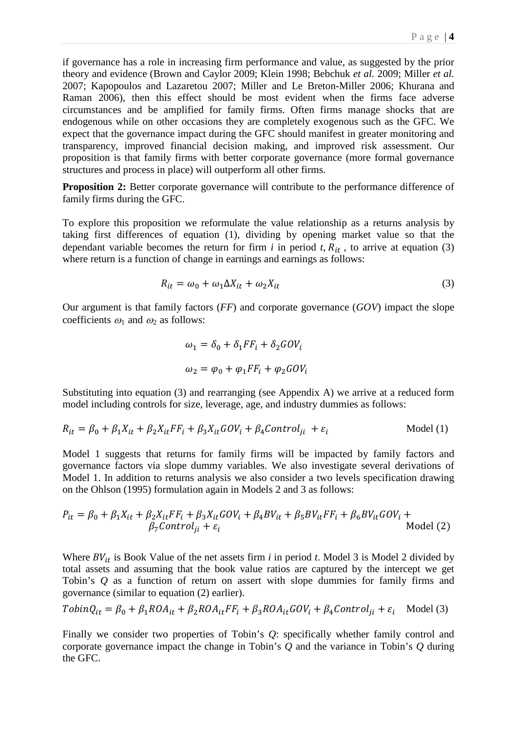if governance has a role in increasing firm performance and value, as suggested by the prior theory and evidence (Brown and Caylor 2009; Klein 1998; Bebchuk *et al.* 2009; Miller *et al.* 2007; Kapopoulos and Lazaretou 2007; Miller and Le Breton-Miller 2006; Khurana and Raman 2006), then this effect should be most evident when the firms face adverse circumstances and be amplified for family firms. Often firms manage shocks that are endogenous while on other occasions they are completely exogenous such as the GFC. We expect that the governance impact during the GFC should manifest in greater monitoring and transparency, improved financial decision making, and improved risk assessment. Our proposition is that family firms with better corporate governance (more formal governance structures and process in place) will outperform all other firms.

**Proposition 2:** Better corporate governance will contribute to the performance difference of family firms during the GFC.

To explore this proposition we reformulate the value relationship as a returns analysis by taking first differences of equation (1), dividing by opening market value so that the dependant variable becomes the return for firm  $i$  in period  $t$ ,  $R_{it}$ , to arrive at equation (3) where return is a function of change in earnings and earnings as follows:

$$
R_{it} = \omega_0 + \omega_1 \Delta X_{it} + \omega_2 X_{it}
$$
 (3)

Our argument is that family factors (*FF*) and corporate governance (*GOV*) impact the slope coefficients  $\omega_1$  and  $\omega_2$  as follows:

$$
\omega_1 = \delta_0 + \delta_1 FF_i + \delta_2 GOV_i
$$
  

$$
\omega_2 = \varphi_0 + \varphi_1 FF_i + \varphi_2 GOV_i
$$

Substituting into equation (3) and rearranging (see Appendix A) we arrive at a reduced form model including controls for size, leverage, age, and industry dummies as follows:

$$
R_{it} = \beta_0 + \beta_1 X_{it} + \beta_2 X_{it} FF_i + \beta_3 X_{it} GOV_i + \beta_4 Control_{ji} + \varepsilon_i
$$
 Model (1)

Model 1 suggests that returns for family firms will be impacted by family factors and governance factors via slope dummy variables. We also investigate several derivations of Model 1. In addition to returns analysis we also consider a two levels specification drawing on the Ohlson (1995) formulation again in Models 2 and 3 as follows:

$$
P_{it} = \beta_0 + \beta_1 X_{it} + \beta_2 X_{it} FF_i + \beta_3 X_{it} GOV_i + \beta_4 BV_{it} + \beta_5 BV_{it} FF_i + \beta_6 BV_{it} GOV_i + \beta_7 Control_{ji} + \varepsilon_i
$$
 Model (2)

Where  $BV_{it}$  is Book Value of the net assets firm *i* in period *t*. Model 3 is Model 2 divided by total assets and assuming that the book value ratios are captured by the intercept we get Tobin's *Q* as a function of return on assert with slope dummies for family firms and governance (similar to equation (2) earlier).

$$
TobinQ_{it} = \beta_0 + \beta_1 ROA_{it} + \beta_2 ROA_{it}FF_i + \beta_3 ROA_{it}GOV_i + \beta_4 Control_{ji} + \varepsilon_i \quad \text{Model (3)}
$$

Finally we consider two properties of Tobin's *Q*: specifically whether family control and corporate governance impact the change in Tobin's *Q* and the variance in Tobin's *Q* during the GFC.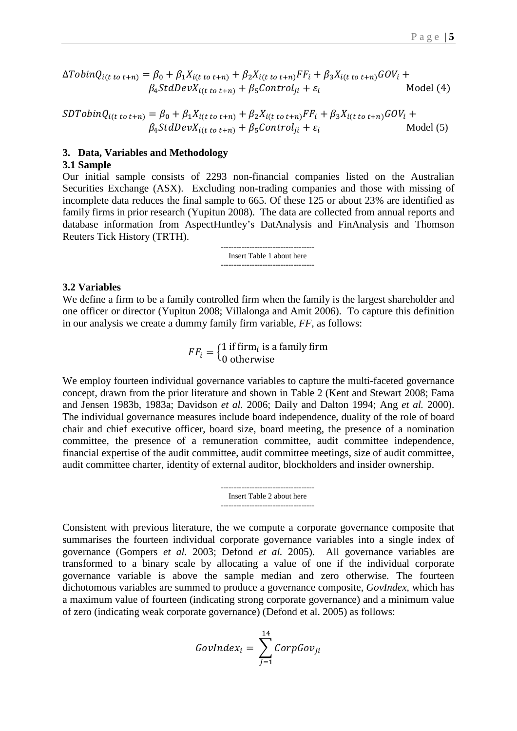$$
\Delta TobinQ_{i(t\ to\ t+n)} = \beta_0 + \beta_1 X_{i(t\ to\ t+n)} + \beta_2 X_{i(t\ to\ t+n)} FF_i + \beta_3 X_{i(t\ to\ t+n)} GOV_i +
$$
  

$$
\beta_4 StdDevX_{i(t\ to\ t+n)} + \beta_5 Control_{ji} + \varepsilon_i
$$
 Model (4)

$$
SDTobinQ_{i(t\ to\ t+n)} = \beta_0 + \beta_1 X_{i(t\ to\ t+n)} + \beta_2 X_{i(t\ to\ t+n)} F F_i + \beta_3 X_{i(t\ to\ t+n)} GOV_i +
$$
  

$$
\beta_4 StdDevX_{i(t\ to\ t+n)} + \beta_5 Control_{ji} + \varepsilon_i
$$
 Model (5)

#### **3. Data, Variables and Methodology**

#### **3.1 Sample**

Our initial sample consists of 2293 non-financial companies listed on the Australian Securities Exchange (ASX). Excluding non-trading companies and those with missing of incomplete data reduces the final sample to 665. Of these 125 or about 23% are identified as family firms in prior research (Yupitun 2008). The data are collected from annual reports and database information from AspectHuntley's DatAnalysis and FinAnalysis and Thomson Reuters Tick History (TRTH).

> Insert Table 1 about here ------------------------------------

#### **3.2 Variables**

We define a firm to be a family controlled firm when the family is the largest shareholder and one officer or director (Yupitun 2008; Villalonga and Amit 2006). To capture this definition in our analysis we create a dummy family firm variable, *FF*, as follows:

> $FF_i = \begin{cases} 1 \text{ if firm}_i \text{ is a family firm} \\ 0 \text{ otherwise} \end{cases}$ 0 otherwise

We employ fourteen individual governance variables to capture the multi-faceted governance concept, drawn from the prior literature and shown in Table 2 (Kent and Stewart 2008; Fama and Jensen 1983b, 1983a; Davidson *et al.* 2006; Daily and Dalton 1994; Ang *et al.* 2000). The individual governance measures include board independence, duality of the role of board chair and chief executive officer, board size, board meeting, the presence of a nomination committee, the presence of a remuneration committee, audit committee independence, financial expertise of the audit committee, audit committee meetings, size of audit committee, audit committee charter, identity of external auditor, blockholders and insider ownership.

> ------------------------------------ Insert Table 2 about here ------------------------------------

Consistent with previous literature, the we compute a corporate governance composite that summarises the fourteen individual corporate governance variables into a single index of governance (Gompers *et al.* 2003; Defond *et al.* 2005). All governance variables are transformed to a binary scale by allocating a value of one if the individual corporate governance variable is above the sample median and zero otherwise. The fourteen dichotomous variables are summed to produce a governance composite, *GovIndex*, which has a maximum value of fourteen (indicating strong corporate governance) and a minimum value of zero (indicating weak corporate governance) (Defond et al. 2005) as follows:

$$
GovIndex_i = \sum_{j=1}^{14} CorpGov_{ji}
$$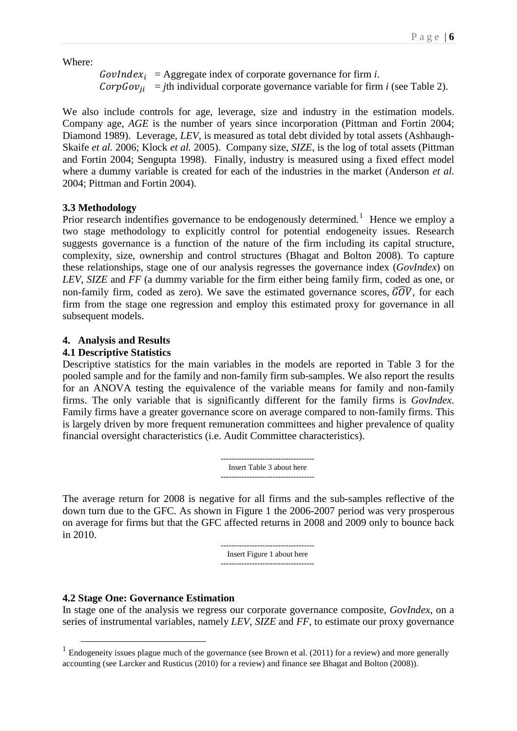Where:

 $GovIndex_i = \text{Aggregate index of corporate governance for firm *i*.$  $CorpGov_{ii}$  = *j*th individual corporate governance variable for firm *i* (see Table 2).

We also include controls for age, leverage, size and industry in the estimation models. Company age, *AGE* is the number of years since incorporation (Pittman and Fortin 2004; Diamond 1989). Leverage, *LEV*, is measured as total debt divided by total assets (Ashbaugh-Skaife *et al.* 2006; Klock *et al.* 2005). Company size, *SIZE*, is the log of total assets (Pittman and Fortin 2004; Sengupta 1998). Finally, industry is measured using a fixed effect model where a dummy variable is created for each of the industries in the market (Anderson *et al.* 2004; Pittman and Fortin 2004).

# **3.3 Methodology**

Prior research indentifies governance to be endogenously determined.<sup>[1](#page-5-0)</sup> Hence we employ a two stage methodology to explicitly control for potential endogeneity issues. Research suggests governance is a function of the nature of the firm including its capital structure, complexity, size, ownership and control structures (Bhagat and Bolton 2008). To capture these relationships, stage one of our analysis regresses the governance index (*GovIndex*) on *LEV*, *SIZE* and *FF* (a dummy variable for the firm either being family firm, coded as one, or non-family firm, coded as zero). We save the estimated governance scores,  $\widehat{GOV}$ , for each firm from the stage one regression and employ this estimated proxy for governance in all subsequent models.

# **4. Analysis and Results**

# **4.1 Descriptive Statistics**

Descriptive statistics for the main variables in the models are reported in Table 3 for the pooled sample and for the family and non-family firm sub-samples. We also report the results for an ANOVA testing the equivalence of the variable means for family and non-family firms. The only variable that is significantly different for the family firms is *GovIndex*. Family firms have a greater governance score on average compared to non-family firms. This is largely driven by more frequent remuneration committees and higher prevalence of quality financial oversight characteristics (i.e. Audit Committee characteristics).

> ------------------------------------ Insert Table 3 about here ------------------------------------

The average return for 2008 is negative for all firms and the sub-samples reflective of the down turn due to the GFC. As shown in Figure 1 the 2006-2007 period was very prosperous on average for firms but that the GFC affected returns in 2008 and 2009 only to bounce back in 2010.

> ------------------------------------ Insert Figure 1 about here ------------------------------------

# **4.2 Stage One: Governance Estimation**

In stage one of the analysis we regress our corporate governance composite, *GovIndex*, on a series of instrumental variables, namely *LEV*, *SIZE* and *FF*, to estimate our proxy governance

<span id="page-5-0"></span> $1$  Endogeneity issues plague much of the governance (see Brown et al. (2011) for a review) and more generally accounting (see Larcker and Rusticus (2010) for a review) and finance see Bhagat and Bolton (2008)).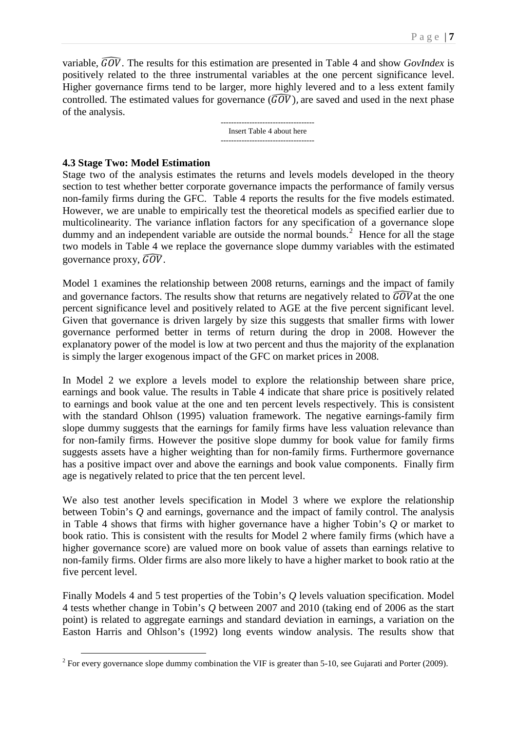variable,  $\widehat{GOV}$ . The results for this estimation are presented in Table 4 and show *GovIndex* is positively related to the three instrumental variables at the one percent significance level. Higher governance firms tend to be larger, more highly levered and to a less extent family controlled. The estimated values for governance  $(\widehat{GOV})$ , are saved and used in the next phase of the analysis.

> Insert Table 4 about here ------------------------------------

# **4.3 Stage Two: Model Estimation**

Stage two of the analysis estimates the returns and levels models developed in the theory section to test whether better corporate governance impacts the performance of family versus non-family firms during the GFC. Table 4 reports the results for the five models estimated. However, we are unable to empirically test the theoretical models as specified earlier due to multicolinearity. The variance inflation factors for any specification of a governance slope dummy and an independent variable are outside the normal bounds.<sup>[2](#page-6-0)</sup> Hence for all the stage two models in Table 4 we replace the governance slope dummy variables with the estimated governance proxy,  $\widehat{GOV}$ .

Model 1 examines the relationship between 2008 returns, earnings and the impact of family and governance factors. The results show that returns are negatively related to  $\widehat{GOV}$  at the one percent significance level and positively related to AGE at the five percent significant level. Given that governance is driven largely by size this suggests that smaller firms with lower governance performed better in terms of return during the drop in 2008. However the explanatory power of the model is low at two percent and thus the majority of the explanation is simply the larger exogenous impact of the GFC on market prices in 2008.

In Model 2 we explore a levels model to explore the relationship between share price, earnings and book value. The results in Table 4 indicate that share price is positively related to earnings and book value at the one and ten percent levels respectively. This is consistent with the standard Ohlson (1995) valuation framework. The negative earnings-family firm slope dummy suggests that the earnings for family firms have less valuation relevance than for non-family firms. However the positive slope dummy for book value for family firms suggests assets have a higher weighting than for non-family firms. Furthermore governance has a positive impact over and above the earnings and book value components. Finally firm age is negatively related to price that the ten percent level.

We also test another levels specification in Model 3 where we explore the relationship between Tobin's *Q* and earnings, governance and the impact of family control. The analysis in Table 4 shows that firms with higher governance have a higher Tobin's *Q* or market to book ratio. This is consistent with the results for Model 2 where family firms (which have a higher governance score) are valued more on book value of assets than earnings relative to non-family firms. Older firms are also more likely to have a higher market to book ratio at the five percent level.

Finally Models 4 and 5 test properties of the Tobin's *Q* levels valuation specification. Model 4 tests whether change in Tobin's *Q* between 2007 and 2010 (taking end of 2006 as the start point) is related to aggregate earnings and standard deviation in earnings, a variation on the Easton Harris and Ohlson's (1992) long events window analysis. The results show that

<span id="page-6-0"></span> $2$  For every governance slope dummy combination the VIF is greater than 5-10, see Gujarati and Porter (2009).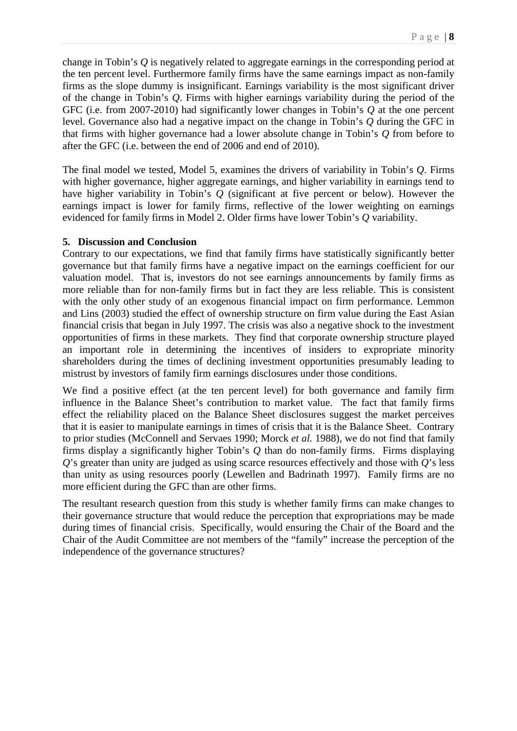change in Tobin's *Q* is negatively related to aggregate earnings in the corresponding period at the ten percent level. Furthermore family firms have the same earnings impact as non-family firms as the slope dummy is insignificant. Earnings variability is the most significant driver of the change in Tobin's *Q*. Firms with higher earnings variability during the period of the GFC (i.e. from 2007-2010) had significantly lower changes in Tobin's *Q* at the one percent level. Governance also had a negative impact on the change in Tobin's *Q* during the GFC in that firms with higher governance had a lower absolute change in Tobin's *Q* from before to after the GFC (i.e. between the end of 2006 and end of 2010).

The final model we tested, Model 5, examines the drivers of variability in Tobin's *Q*. Firms with higher governance, higher aggregate earnings, and higher variability in earnings tend to have higher variability in Tobin's *Q* (significant at five percent or below). However the earnings impact is lower for family firms, reflective of the lower weighting on earnings evidenced for family firms in Model 2. Older firms have lower Tobin's *Q* variability.

# **5. Discussion and Conclusion**

Contrary to our expectations, we find that family firms have statistically significantly better governance but that family firms have a negative impact on the earnings coefficient for our valuation model. That is, investors do not see earnings announcements by family firms as more reliable than for non-family firms but in fact they are less reliable. This is consistent with the only other study of an exogenous financial impact on firm performance. Lemmon and Lins (2003) studied the effect of ownership structure on firm value during the East Asian financial crisis that began in July 1997. The crisis was also a negative shock to the investment opportunities of firms in these markets. They find that corporate ownership structure played an important role in determining the incentives of insiders to expropriate minority shareholders during the times of declining investment opportunities presumably leading to mistrust by investors of family firm earnings disclosures under those conditions.

We find a positive effect (at the ten percent level) for both governance and family firm influence in the Balance Sheet's contribution to market value. The fact that family firms effect the reliability placed on the Balance Sheet disclosures suggest the market perceives that it is easier to manipulate earnings in times of crisis that it is the Balance Sheet. Contrary to prior studies (McConnell and Servaes 1990; Morck *et al.* 1988), we do not find that family firms display a significantly higher Tobin's *Q* than do non-family firms. Firms displaying *Q*'s greater than unity are judged as using scarce resources effectively and those with *Q*'s less than unity as using resources poorly (Lewellen and Badrinath 1997). Family firms are no more efficient during the GFC than are other firms.

The resultant research question from this study is whether family firms can make changes to their governance structure that would reduce the perception that expropriations may be made during times of financial crisis. Specifically, would ensuring the Chair of the Board and the Chair of the Audit Committee are not members of the "family" increase the perception of the independence of the governance structures?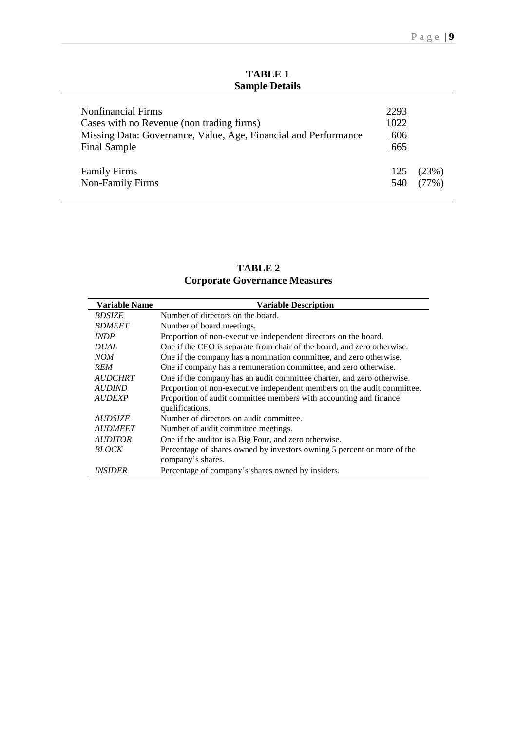| <b>TABLE 1</b>        |
|-----------------------|
| <b>Sample Details</b> |

| <b>Nonfinancial Firms</b><br>Cases with no Revenue (non trading firms)<br>Missing Data: Governance, Value, Age, Financial and Performance<br>Final Sample | 2293<br>1022<br>606<br>665 |       |
|-----------------------------------------------------------------------------------------------------------------------------------------------------------|----------------------------|-------|
| <b>Family Firms</b>                                                                                                                                       | 125                        | (23%) |
| Non-Family Firms                                                                                                                                          | 540                        | (77%) |

**TABLE 2 Corporate Governance Measures**

| <b>Variable Name</b>  | <b>Variable Description</b>                                             |
|-----------------------|-------------------------------------------------------------------------|
| <b>BDSIZE</b>         | Number of directors on the board.                                       |
| <b>BDMEET</b>         | Number of board meetings.                                               |
| <b>INDP</b>           | Proportion of non-executive independent directors on the board.         |
| <b>DUAL</b>           | One if the CEO is separate from chair of the board, and zero otherwise. |
| NOM                   | One if the company has a nomination committee, and zero otherwise.      |
| <b>REM</b>            | One if company has a remuneration committee, and zero otherwise.        |
| <b>AUDCHRT</b>        | One if the company has an audit committee charter, and zero otherwise.  |
| <b>AUDIND</b>         | Proportion of non-executive independent members on the audit committee. |
| <b>AUDEXP</b>         | Proportion of audit committee members with accounting and finance       |
|                       | qualifications.                                                         |
| <b>AUDSIZE</b>        | Number of directors on audit committee.                                 |
| <b>AUDMEET</b>        | Number of audit committee meetings.                                     |
| <i><b>AUDITOR</b></i> | One if the auditor is a Big Four, and zero otherwise.                   |
| <b>BLOCK</b>          | Percentage of shares owned by investors owning 5 percent or more of the |
|                       | company's shares.                                                       |
| <i>INSIDER</i>        | Percentage of company's shares owned by insiders.                       |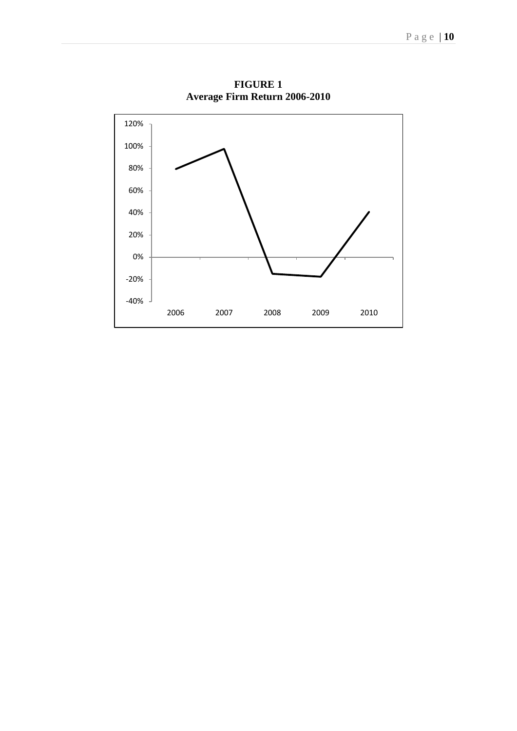

**FIGURE 1 Average Firm Return 2006-2010**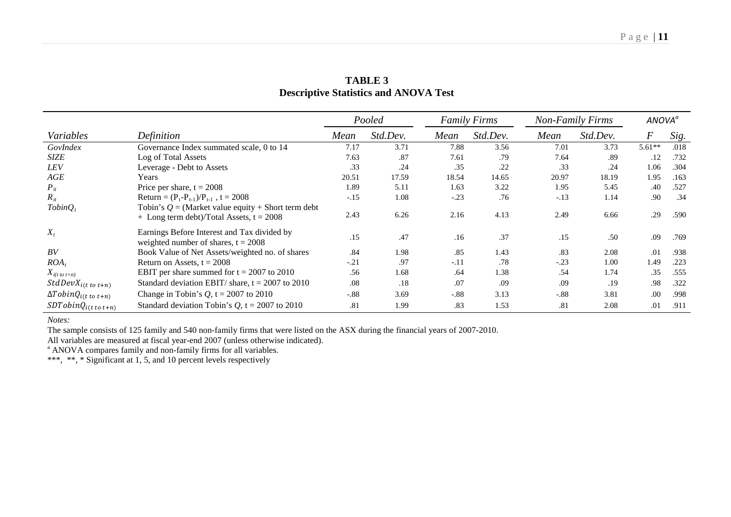|                                  |                                                                                                    | Pooled |          | <b>Family Firms</b> |          | <b>Non-Family Firms</b> |          | ANOVA <sup>ª</sup> |      |
|----------------------------------|----------------------------------------------------------------------------------------------------|--------|----------|---------------------|----------|-------------------------|----------|--------------------|------|
| Variables                        | Definition                                                                                         | Mean   | Std.Dev. | Mean                | Std.Dev. | Mean                    | Std.Dev. | $\boldsymbol{F}$   | Sig. |
| GovIndex                         | Governance Index summated scale, 0 to 14                                                           | 7.17   | 3.71     | 7.88                | 3.56     | 7.01                    | 3.73     | $5.61**$           | .018 |
| <b>SIZE</b>                      | Log of Total Assets                                                                                | 7.63   | .87      | 7.61                | .79      | 7.64                    | .89      | .12                | .732 |
| <b>LEV</b>                       | Leverage - Debt to Assets                                                                          | .33    | .24      | .35                 | .22      | .33                     | .24      | 1.06               | .304 |
| AGE                              | Years                                                                                              | 20.51  | 17.59    | 18.54               | 14.65    | 20.97                   | 18.19    | 1.95               | .163 |
| $P_{it}$                         | Price per share, $t = 2008$                                                                        | 1.89   | 5.11     | 1.63                | 3.22     | 1.95                    | 5.45     | .40                | .527 |
| $R_{it}$                         | Return = $(P_t-P_{t-1})/P_{t-1}$ , t = 2008                                                        | $-.15$ | 1.08     | $-.23$              | .76      | $-.13$                  | 1.14     | .90                | .34  |
| $TobinQ_t$                       | Tobin's $Q =$ (Market value equity + Short term debt<br>$+$ Long term debt)/Total Assets, t = 2008 | 2.43   | 6.26     | 2.16                | 4.13     | 2.49                    | 6.66     | .29                | .590 |
| $X_t$                            | Earnings Before Interest and Tax divided by<br>weighted number of shares, $t = 2008$               | .15    | .47      | .16                 | .37      | .15                     | .50      | .09                | .769 |
| BV                               | Book Value of Net Assets/weighted no. of shares                                                    | .84    | 1.98     | .85                 | 1.43     | .83                     | 2.08     | .01                | .938 |
| $ROA_t$                          | Return on Assets, $t = 2008$                                                                       | $-.21$ | .97      | $-.11$              | .78      | $-.23$                  | 1.00     | 1.49               | .223 |
| $X_{i(t\ to\ t+n)}$              | EBIT per share summed for $t = 2007$ to 2010                                                       | .56    | 1.68     | .64                 | 1.38     | .54                     | 1.74     | .35                | .555 |
| $StdDevX_{i(t\ to\ t+n)}$        | Standard deviation EBIT/ share, $t = 2007$ to 2010                                                 | .08    | .18      | .07                 | .09      | .09                     | .19      | .98                | .322 |
| $\Delta T obinQ_{i(t\ to\ t+n)}$ | Change in Tobin's $Q$ , t = 2007 to 2010                                                           | $-.88$ | 3.69     | $-.88$              | 3.13     | $-.88$                  | 3.81     | .00                | .998 |
| $SDTobinQ_{i(t\ to\ t+n)}$       | Standard deviation Tobin's $Q$ , t = 2007 to 2010                                                  | .81    | 1.99     | .83                 | 1.53     | .81                     | 2.08     | .01                | .911 |

# **TABLE 3 Descriptive Statistics and ANOVA Test**

*Notes:*

The sample consists of 125 family and 540 non-family firms that were listed on the ASX during the financial years of 2007-2010.

All variables are measured at fiscal year-end 2007 (unless otherwise indicated).

ANOVA compares family and non-family firms for all variables.

\*\*\*, \*\*, \* Significant at 1, 5, and 10 percent levels respectively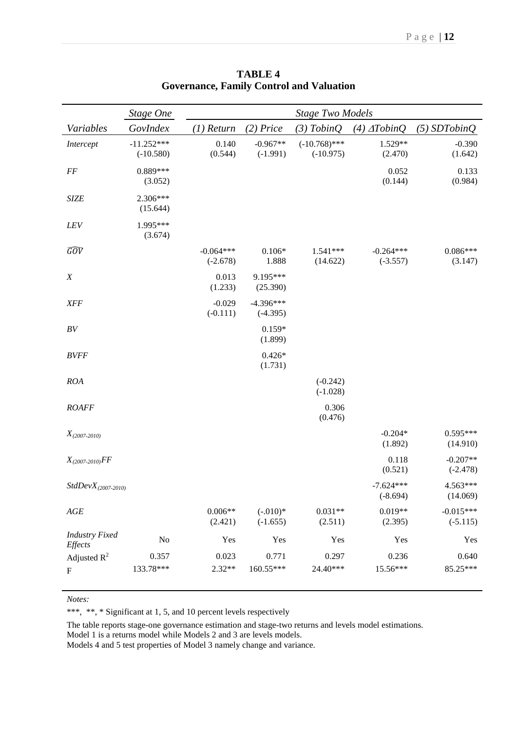|                                  | <b>Stage One</b>            | <b>Stage Two Models</b>   |                           |                                |                           |                           |
|----------------------------------|-----------------------------|---------------------------|---------------------------|--------------------------------|---------------------------|---------------------------|
| Variables                        | GovIndex                    | $(1)$ Return              | $(2)$ Price               | $(3)$ TobinQ                   | $(4)$ $\Delta$ Tobin $Q$  | $(5)$ SDTobinQ            |
| Intercept                        | $-11.252***$<br>$(-10.580)$ | 0.140<br>(0.544)          | $-0.967**$<br>$(-1.991)$  | $(-10.768)$ ***<br>$(-10.975)$ | 1.529**<br>(2.470)        | $-0.390$<br>(1.642)       |
| $\cal FF$                        | $0.889***$<br>(3.052)       |                           |                           |                                | 0.052<br>(0.144)          | 0.133<br>(0.984)          |
| <b>SIZE</b>                      | 2.306***<br>(15.644)        |                           |                           |                                |                           |                           |
| LEV                              | 1.995***<br>(3.674)         |                           |                           |                                |                           |                           |
| $\widehat{GOV}$                  |                             | $-0.064***$<br>$(-2.678)$ | $0.106*$<br>1.888         | $1.541***$<br>(14.622)         | $-0.264***$<br>$(-3.557)$ | $0.086***$<br>(3.147)     |
| $\boldsymbol{X}$                 |                             | 0.013<br>(1.233)          | 9.195***<br>(25.390)      |                                |                           |                           |
| <b>XFF</b>                       |                             | $-0.029$<br>$(-0.111)$    | $-4.396***$<br>$(-4.395)$ |                                |                           |                           |
| $\cal BV$                        |                             |                           | $0.159*$<br>(1.899)       |                                |                           |                           |
| <b>BVFF</b>                      |                             |                           | $0.426*$<br>(1.731)       |                                |                           |                           |
| <b>ROA</b>                       |                             |                           |                           | $(-0.242)$<br>$(-1.028)$       |                           |                           |
| <b>ROAFF</b>                     |                             |                           |                           | 0.306<br>(0.476)               |                           |                           |
| $X_{(2007-2010)}$                |                             |                           |                           |                                | $-0.204*$<br>(1.892)      | $0.595***$<br>(14.910)    |
| $X_{(2007-2010)} FF$             |                             |                           |                           |                                | 0.118<br>(0.521)          | $-0.207**$<br>$(-2.478)$  |
| $StdDevX_{(2007-2010)}$          |                             |                           |                           |                                | $-7.624***$<br>$(-8.694)$ | $4.563***$<br>(14.069)    |
| AGE                              |                             | $0.006**$<br>(2.421)      | $(-.010)*$<br>$(-1.655)$  | $0.031**$<br>(2.511)           | $0.019**$<br>(2.395)      | $-0.015***$<br>$(-5.115)$ |
| <b>Industry Fixed</b><br>Effects | No                          | Yes                       | Yes                       | Yes                            | Yes                       | Yes                       |
| Adjusted $R^2$                   | 0.357                       | 0.023                     | 0.771                     | 0.297                          | 0.236                     | 0.640                     |
| $\boldsymbol{\mathrm{F}}$        | 133.78***                   | $2.32**$                  | 160.55***                 | 24.40***                       | 15.56***                  | 85.25***                  |

**TABLE 4 Governance, Family Control and Valuation**

#### *Notes:*

\*\*\*, \*\*, \* Significant at 1, 5, and 10 percent levels respectively

The table reports stage-one governance estimation and stage-two returns and levels model estimations.

Model 1 is a returns model while Models 2 and 3 are levels models. Models 4 and 5 test properties of Model 3 namely change and variance.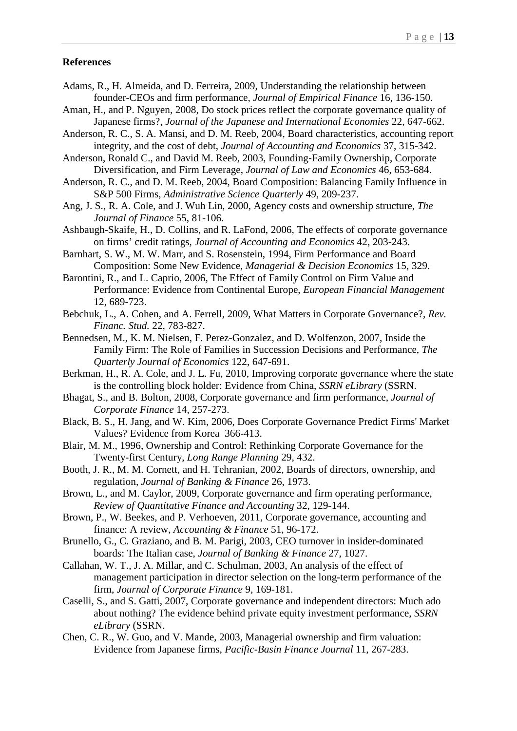#### **References**

- Adams, R., H. Almeida, and D. Ferreira, 2009, Understanding the relationship between founder-CEOs and firm performance, *Journal of Empirical Finance* 16, 136-150.
- Aman, H., and P. Nguyen, 2008, Do stock prices reflect the corporate governance quality of Japanese firms?, *Journal of the Japanese and International Economies* 22, 647-662.
- Anderson, R. C., S. A. Mansi, and D. M. Reeb, 2004, Board characteristics, accounting report integrity, and the cost of debt, *Journal of Accounting and Economics* 37, 315-342.
- Anderson, Ronald C., and David M. Reeb, 2003, Founding‐Family Ownership, Corporate Diversification, and Firm Leverage, *Journal of Law and Economics* 46, 653-684.
- Anderson, R. C., and D. M. Reeb, 2004, Board Composition: Balancing Family Influence in S&P 500 Firms, *Administrative Science Quarterly* 49, 209-237.
- Ang, J. S., R. A. Cole, and J. Wuh Lin, 2000, Agency costs and ownership structure, *The Journal of Finance* 55, 81-106.
- Ashbaugh-Skaife, H., D. Collins, and R. LaFond, 2006, The effects of corporate governance on firms' credit ratings, *Journal of Accounting and Economics* 42, 203-243.
- Barnhart, S. W., M. W. Marr, and S. Rosenstein, 1994, Firm Performance and Board Composition: Some New Evidence, *Managerial & Decision Economics* 15, 329.
- Barontini, R., and L. Caprio, 2006, The Effect of Family Control on Firm Value and Performance: Evidence from Continental Europe, *European Financial Management* 12, 689-723.
- Bebchuk, L., A. Cohen, and A. Ferrell, 2009, What Matters in Corporate Governance?, *Rev. Financ. Stud.* 22, 783-827.
- Bennedsen, M., K. M. Nielsen, F. Perez-Gonzalez, and D. Wolfenzon, 2007, Inside the Family Firm: The Role of Families in Succession Decisions and Performance, *The Quarterly Journal of Economics* 122, 647-691.
- Berkman, H., R. A. Cole, and J. L. Fu, 2010, Improving corporate governance where the state is the controlling block holder: Evidence from China, *SSRN eLibrary* (SSRN.
- Bhagat, S., and B. Bolton, 2008, Corporate governance and firm performance, *Journal of Corporate Finance* 14, 257-273.
- Black, B. S., H. Jang, and W. Kim, 2006, Does Corporate Governance Predict Firms' Market Values? Evidence from Korea 366-413.
- Blair, M. M., 1996, Ownership and Control: Rethinking Corporate Governance for the Twenty-first Century, *Long Range Planning* 29, 432.
- Booth, J. R., M. M. Cornett, and H. Tehranian, 2002, Boards of directors, ownership, and regulation, *Journal of Banking & Finance* 26, 1973.
- Brown, L., and M. Caylor, 2009, Corporate governance and firm operating performance, *Review of Quantitative Finance and Accounting* 32, 129-144.
- Brown, P., W. Beekes, and P. Verhoeven, 2011, Corporate governance, accounting and finance: A review, *Accounting & Finance* 51, 96-172.
- Brunello, G., C. Graziano, and B. M. Parigi, 2003, CEO turnover in insider-dominated boards: The Italian case, *Journal of Banking & Finance* 27, 1027.
- Callahan, W. T., J. A. Millar, and C. Schulman, 2003, An analysis of the effect of management participation in director selection on the long-term performance of the firm, *Journal of Corporate Finance* 9, 169-181.
- Caselli, S., and S. Gatti, 2007, Corporate governance and independent directors: Much ado about nothing? The evidence behind private equity investment performance, *SSRN eLibrary* (SSRN.
- Chen, C. R., W. Guo, and V. Mande, 2003, Managerial ownership and firm valuation: Evidence from Japanese firms, *Pacific-Basin Finance Journal* 11, 267-283.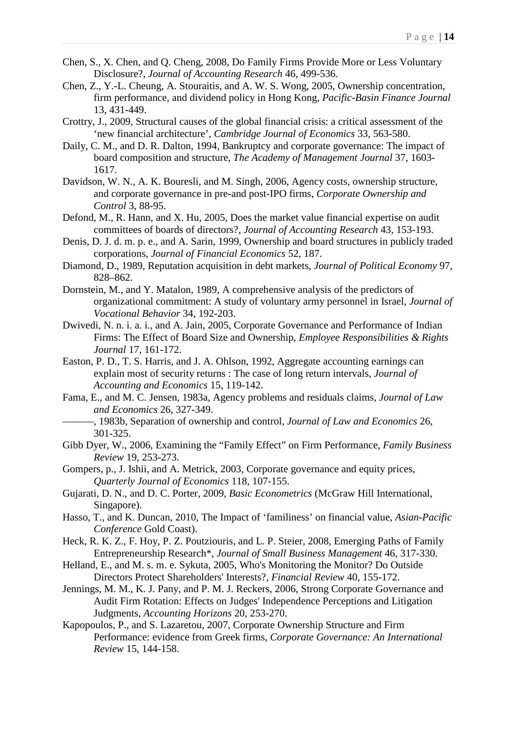- Chen, S., X. Chen, and Q. Cheng, 2008, Do Family Firms Provide More or Less Voluntary Disclosure?, *Journal of Accounting Research* 46, 499-536.
- Chen, Z., Y.-L. Cheung, A. Stouraitis, and A. W. S. Wong, 2005, Ownership concentration, firm performance, and dividend policy in Hong Kong, *Pacific-Basin Finance Journal* 13, 431-449.
- Crottry, J., 2009, Structural causes of the global financial crisis: a critical assessment of the 'new financial architecture', *Cambridge Journal of Economics* 33, 563-580.
- Daily, C. M., and D. R. Dalton, 1994, Bankruptcy and corporate governance: The impact of board composition and structure, *The Academy of Management Journal* 37, 1603- 1617.
- Davidson, W. N., A. K. Bouresli, and M. Singh, 2006, Agency costs, ownership structure, and corporate governance in pre-and post-IPO firms, *Corporate Ownership and Control* 3, 88-95.
- Defond, M., R. Hann, and X. Hu, 2005, Does the market value financial expertise on audit committees of boards of directors?, *Journal of Accounting Research* 43, 153-193.
- Denis, D. J. d. m. p. e., and A. Sarin, 1999, Ownership and board structures in publicly traded corporations, *Journal of Financial Economics* 52, 187.
- Diamond, D., 1989, Reputation acquisition in debt markets, *Journal of Political Economy* 97, 828–862.
- Dornstein, M., and Y. Matalon, 1989, A comprehensive analysis of the predictors of organizational commitment: A study of voluntary army personnel in Israel, *Journal of Vocational Behavior* 34, 192-203.
- Dwivedi, N. n. i. a. i., and A. Jain, 2005, Corporate Governance and Performance of Indian Firms: The Effect of Board Size and Ownership, *Employee Responsibilities & Rights Journal* 17, 161-172.
- Easton, P. D., T. S. Harris, and J. A. Ohlson, 1992, Aggregate accounting earnings can explain most of security returns : The case of long return intervals, *Journal of Accounting and Economics* 15, 119-142.
- Fama, E., and M. C. Jensen, 1983a, Agency problems and residuals claims, *Journal of Law and Economics* 26, 327-349.
	- ———, 1983b, Separation of ownership and control, *Journal of Law and Economics* 26, 301-325.
- Gibb Dyer, W., 2006, Examining the "Family Effect" on Firm Performance, *Family Business Review* 19, 253-273.
- Gompers, p., J. Ishii, and A. Metrick, 2003, Corporate governance and equity prices, *Quarterly Journal of Economics* 118, 107-155.
- Gujarati, D. N., and D. C. Porter, 2009, *Basic Econometrics* (McGraw Hill International, Singapore).
- Hasso, T., and K. Duncan, 2010, The Impact of 'familiness' on financial value, *Asian-Pacific Conference* Gold Coast).
- Heck, R. K. Z., F. Hoy, P. Z. Poutziouris, and L. P. Steier, 2008, Emerging Paths of Family Entrepreneurship Research\*, *Journal of Small Business Management* 46, 317-330.
- Helland, E., and M. s. m. e. Sykuta, 2005, Who's Monitoring the Monitor? Do Outside Directors Protect Shareholders' Interests?, *Financial Review* 40, 155-172.
- Jennings, M. M., K. J. Pany, and P. M. J. Reckers, 2006, Strong Corporate Governance and Audit Firm Rotation: Effects on Judges' Independence Perceptions and Litigation Judgments, *Accounting Horizons* 20, 253-270.
- Kapopoulos, P., and S. Lazaretou, 2007, Corporate Ownership Structure and Firm Performance: evidence from Greek firms, *Corporate Governance: An International Review* 15, 144-158.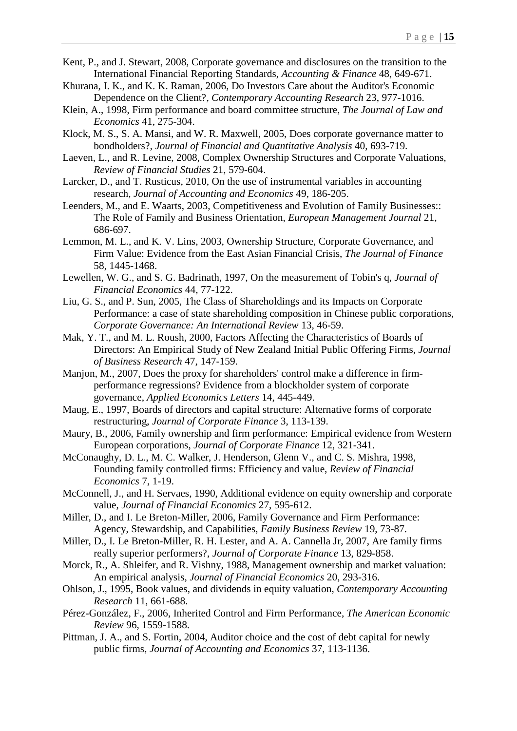- Kent, P., and J. Stewart, 2008, Corporate governance and disclosures on the transition to the International Financial Reporting Standards, *Accounting & Finance* 48, 649-671.
- Khurana, I. K., and K. K. Raman, 2006, Do Investors Care about the Auditor's Economic Dependence on the Client?, *Contemporary Accounting Research* 23, 977-1016.
- Klein, A., 1998, Firm performance and board committee structure, *The Journal of Law and Economics* 41, 275-304.
- Klock, M. S., S. A. Mansi, and W. R. Maxwell, 2005, Does corporate governance matter to bondholders?, *Journal of Financial and Quantitative Analysis* 40, 693-719.
- Laeven, L., and R. Levine, 2008, Complex Ownership Structures and Corporate Valuations, *Review of Financial Studies* 21, 579-604.
- Larcker, D., and T. Rusticus, 2010, On the use of instrumental variables in accounting research, *Journal of Accounting and Economics* 49, 186-205.
- Leenders, M., and E. Waarts, 2003, Competitiveness and Evolution of Family Businesses:: The Role of Family and Business Orientation, *European Management Journal* 21, 686-697.
- Lemmon, M. L., and K. V. Lins, 2003, Ownership Structure, Corporate Governance, and Firm Value: Evidence from the East Asian Financial Crisis, *The Journal of Finance* 58, 1445-1468.
- Lewellen, W. G., and S. G. Badrinath, 1997, On the measurement of Tobin's q, *Journal of Financial Economics* 44, 77-122.
- Liu, G. S., and P. Sun, 2005, The Class of Shareholdings and its Impacts on Corporate Performance: a case of state shareholding composition in Chinese public corporations, *Corporate Governance: An International Review* 13, 46-59.
- Mak, Y. T., and M. L. Roush, 2000, Factors Affecting the Characteristics of Boards of Directors: An Empirical Study of New Zealand Initial Public Offering Firms, *Journal of Business Research* 47, 147-159.
- Manjon, M., 2007, Does the proxy for shareholders' control make a difference in firmperformance regressions? Evidence from a blockholder system of corporate governance, *Applied Economics Letters* 14, 445-449.
- Maug, E., 1997, Boards of directors and capital structure: Alternative forms of corporate restructuring, *Journal of Corporate Finance* 3, 113-139.
- Maury, B., 2006, Family ownership and firm performance: Empirical evidence from Western European corporations, *Journal of Corporate Finance* 12, 321-341.
- McConaughy, D. L., M. C. Walker, J. Henderson, Glenn V., and C. S. Mishra, 1998, Founding family controlled firms: Efficiency and value, *Review of Financial Economics* 7, 1-19.
- McConnell, J., and H. Servaes, 1990, Additional evidence on equity ownership and corporate value, *Journal of Financial Economics* 27, 595-612.
- Miller, D., and I. Le Breton-Miller, 2006, Family Governance and Firm Performance: Agency, Stewardship, and Capabilities, *Family Business Review* 19, 73-87.
- Miller, D., I. Le Breton-Miller, R. H. Lester, and A. A. Cannella Jr, 2007, Are family firms really superior performers?, *Journal of Corporate Finance* 13, 829-858.
- Morck, R., A. Shleifer, and R. Vishny, 1988, Management ownership and market valuation: An empirical analysis, *Journal of Financial Economics* 20, 293-316.
- Ohlson, J., 1995, Book values, and dividends in equity valuation, *Contemporary Accounting Research* 11, 661-688.
- Pérez-González, F., 2006, Inherited Control and Firm Performance, *The American Economic Review* 96, 1559-1588.
- Pittman, J. A., and S. Fortin, 2004, Auditor choice and the cost of debt capital for newly public firms, *Journal of Accounting and Economics* 37, 113-1136.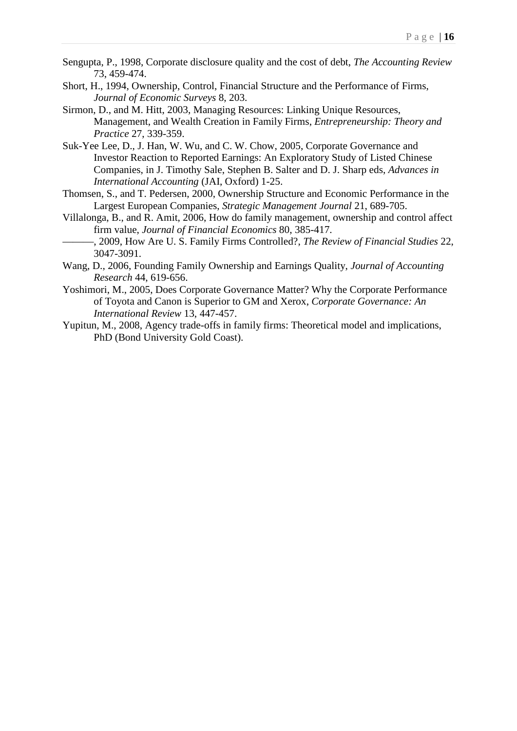- Sengupta, P., 1998, Corporate disclosure quality and the cost of debt, *The Accounting Review* 73, 459-474.
- Short, H., 1994, Ownership, Control, Financial Structure and the Performance of Firms, *Journal of Economic Surveys* 8, 203.
- Sirmon, D., and M. Hitt, 2003, Managing Resources: Linking Unique Resources, Management, and Wealth Creation in Family Firms, *Entrepreneurship: Theory and Practice* 27, 339-359.
- Suk-Yee Lee, D., J. Han, W. Wu, and C. W. Chow, 2005, Corporate Governance and Investor Reaction to Reported Earnings: An Exploratory Study of Listed Chinese Companies, in J. Timothy Sale, Stephen B. Salter and D. J. Sharp eds, *Advances in International Accounting* (JAI, Oxford) 1-25.
- Thomsen, S., and T. Pedersen, 2000, Ownership Structure and Economic Performance in the Largest European Companies, *Strategic Management Journal* 21, 689-705.
- Villalonga, B., and R. Amit, 2006, How do family management, ownership and control affect firm value, *Journal of Financial Economics* 80, 385-417.
- ———, 2009, How Are U. S. Family Firms Controlled?, *The Review of Financial Studies* 22, 3047-3091.
- Wang, D., 2006, Founding Family Ownership and Earnings Quality, *Journal of Accounting Research* 44, 619-656.
- Yoshimori, M., 2005, Does Corporate Governance Matter? Why the Corporate Performance of Toyota and Canon is Superior to GM and Xerox, *Corporate Governance: An International Review* 13, 447-457.
- Yupitun, M., 2008, Agency trade-offs in family firms: Theoretical model and implications, PhD (Bond University Gold Coast).